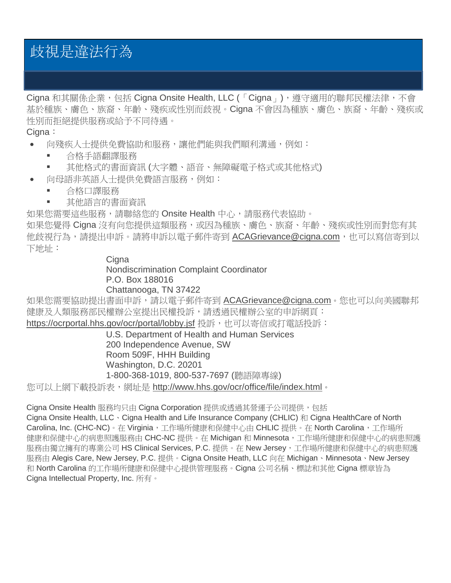# 歧視是違法行為

Cigna 和其關係企業,包括 Cigna Onsite Health, LLC (「Cigna」), 遵守適用的聯邦民權法律, 不會 基於種族、膚色、族裔、年齡、殘疾或性別而歧視。Cigna 不會因為種族、膚色、族裔、年齡、殘疾或 性別而拒絕提供服務或給予不同待遇。

Cigna:

- 向殘疾人士提供免費協助和服務,讓他們能與我們順利溝通,例如:
	- 合格手語翻譯服務
	- 其他格式的書面資訊 (大字體、語音、無障礙電子格式或其他格式)
- 向母語非英語人士提供免費語言服務,例如:
	- 合格口譯服務
	- 其他語言的書面資訊

如果您需要這些服務,請聯絡您的 Onsite Health 中心,請服務代表協助。

如果您覺得 Cigna 沒有向您提供這類服務,或因為種族、膚色、族裔、年齡、殘疾或性別而對您有其 他歧視行為,請提出申訴。請將申訴以電子郵件寄到 [ACAGrievance@cigna.com](mailto:ACAGrievance@cigna.com),也可以寫信寄到以 下地址:

# **Cigna**

Nondiscrimination Complaint Coordinator

# P.O. Box 188016 Chattanooga, TN 37422

如果您需要協助提出書面申訴,請以電子郵件寄到 [ACAGrievance@cigna.com](mailto:ACAGrievance@cigna.com)。您也可以向美國聯邦 健康及人類服務部民權辦公室提出民權投訴,請透過民權辦公室的申訴網頁:

<https://ocrportal.hhs.gov/ocr/portal/lobby.jsf> 投訴,也可以寄信或打電話投訴:

U.S. Department of Health and Human Services 200 Independence Avenue, SW Room 509F, HHH Building Washington, D.C. 20201 1-800-368-1019, 800-537-7697 (聽語障專線)

您可以上網下載投訴表,網址是 <http://www.hhs.gov/ocr/office/file/index.html>。

Cigna Onsite Health 服務均只由 Cigna Corporation 提供或诱過其營運子公司提供,包括

Cigna Onsite Health, LLC · Cigna Health and Life Insurance Company (CHLIC) 和 Cigna HealthCare of North Carolina, Inc. (CHC-NC)。在 Virginia,工作場所健康和保健中心由 CHLIC 提供。在 North Carolina,工作場所 健康和保健中心的病患照護服務由 CHC-NC 提供。在 Michigan 和 Minnesota,工作場所健康和保健中心的病患照護 服務由獨立擁有的專業公司 HS Clinical Services, P.C. 提供。在 New Jersey, 工作場所健康和保健中心的病患照護 服務由 Alegis Care, New Jersey, P.C. 提供。Cigna Onsite Heath, LLC 向在 Michigan、Minnesota、New Jersey 和 North Carolina 的工作場所健康和保健中心提供管理服務。Cigna 公司名稱、標誌和其他 Cigna 標章皆為 Cigna Intellectual Property, Inc. 所有。